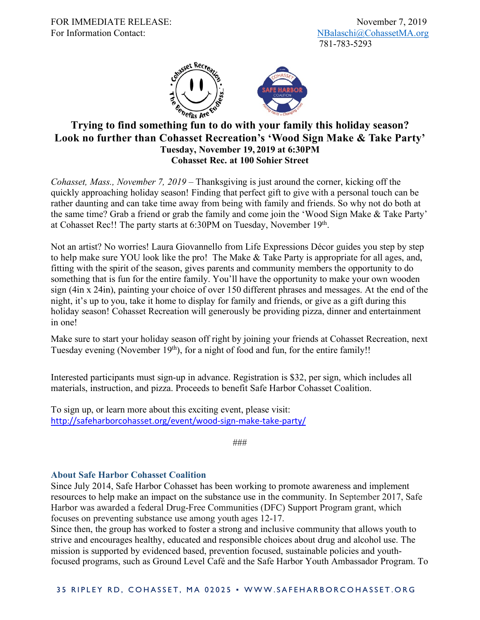

## **Trying to find something fun to do with your family this holiday season? Look no further than Cohasset Recreation's 'Wood Sign Make & Take Party' Tuesday, November 19, 2019 at 6:30PM Cohasset Rec. at 100 Sohier Street**

*Cohasset, Mass., November 7, 2019* – Thanksgiving is just around the corner, kicking off the quickly approaching holiday season! Finding that perfect gift to give with a personal touch can be rather daunting and can take time away from being with family and friends. So why not do both at the same time? Grab a friend or grab the family and come join the 'Wood Sign Make & Take Party' at Cohasset Rec!! The party starts at 6:30PM on Tuesday, November 19th.

Not an artist? No worries! Laura Giovannello from Life Expressions Décor guides you step by step to help make sure YOU look like the pro! The Make & Take Party is appropriate for all ages, and, fitting with the spirit of the season, gives parents and community members the opportunity to do something that is fun for the entire family. You'll have the opportunity to make your own wooden sign (4in x 24in), painting your choice of over 150 different phrases and messages. At the end of the night, it's up to you, take it home to display for family and friends, or give as a gift during this holiday season! Cohasset Recreation will generously be providing pizza, dinner and entertainment in one!

Make sure to start your holiday season off right by joining your friends at Cohasset Recreation, next Tuesday evening (November  $19<sup>th</sup>$ ), for a night of food and fun, for the entire family!!

Interested participants must sign-up in advance. Registration is \$32, per sign, which includes all materials, instruction, and pizza. Proceeds to benefit Safe Harbor Cohasset Coalition.

To sign up, or learn more about this exciting event, please visit: http://safeharborcohasset.org/event/wood-sign-make-take-party/

###

## **About Safe Harbor Cohasset Coalition**

Since July 2014, Safe Harbor Cohasset has been working to promote awareness and implement resources to help make an impact on the substance use in the community. In September 2017, Safe Harbor was awarded a federal Drug-Free Communities (DFC) Support Program grant, which focuses on preventing substance use among youth ages 12-17.

Since then, the group has worked to foster a strong and inclusive community that allows youth to strive and encourages healthy, educated and responsible choices about drug and alcohol use. The mission is supported by evidenced based, prevention focused, sustainable policies and youthfocused programs, such as Ground Level Café and the Safe Harbor Youth Ambassador Program. To